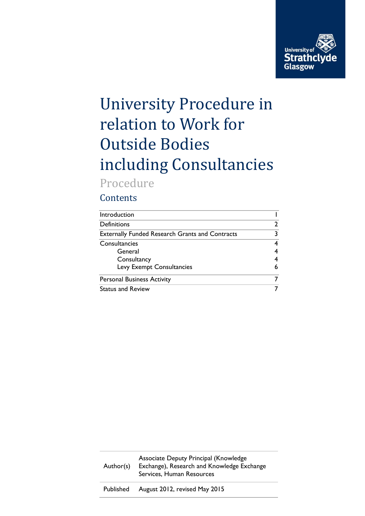

# University Procedure in relation to Work for Outside Bodies including Consultancies

## Procedure

## **Contents**

| Introduction                                           |   |
|--------------------------------------------------------|---|
| <b>Definitions</b>                                     | 2 |
| <b>Externally Funded Research Grants and Contracts</b> | 3 |
| Consultancies                                          |   |
| General                                                |   |
| Consultancy                                            |   |
| Levy Exempt Consultancies                              | 6 |
| <b>Personal Business Activity</b>                      |   |
| <b>Status and Review</b>                               |   |

| Author(s) | Associate Deputy Principal (Knowledge<br>Exchange), Research and Knowledge Exchange<br>Services, Human Resources |
|-----------|------------------------------------------------------------------------------------------------------------------|
| Published | August 2012, revised May 2015                                                                                    |
|           |                                                                                                                  |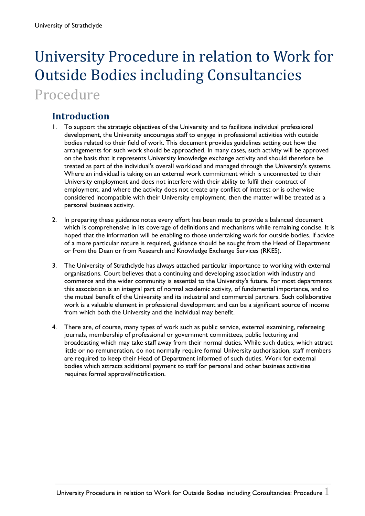## University Procedure in relation to Work for Outside Bodies including Consultancies Procedure

## <span id="page-1-0"></span>**Introduction**

- 1. To support the strategic objectives of the University and to facilitate individual professional development, the University encourages staff to engage in professional activities with outside bodies related to their field of work. This document provides guidelines setting out how the arrangements for such work should be approached. In many cases, such activity will be approved on the basis that it represents University knowledge exchange activity and should therefore be treated as part of the individual's overall workload and managed through the University's systems. Where an individual is taking on an external work commitment which is unconnected to their University employment and does not interfere with their ability to fulfil their contract of employment, and where the activity does not create any conflict of interest or is otherwise considered incompatible with their University employment, then the matter will be treated as a personal business activity.
- 2. In preparing these guidance notes every effort has been made to provide a balanced document which is comprehensive in its coverage of definitions and mechanisms while remaining concise. It is hoped that the information will be enabling to those undertaking work for outside bodies. If advice of a more particular nature is required, guidance should be sought from the Head of Department or from the Dean or from Research and Knowledge Exchange Services (RKES).
- 3. The University of Strathclyde has always attached particular importance to working with external organisations. Court believes that a continuing and developing association with industry and commerce and the wider community is essential to the University's future. For most departments this association is an integral part of normal academic activity, of fundamental importance, and to the mutual benefit of the University and its industrial and commercial partners. Such collaborative work is a valuable element in professional development and can be a significant source of income from which both the University and the individual may benefit.
- 4. There are, of course, many types of work such as public service, external examining, refereeing journals, membership of professional or government committees, public lecturing and broadcasting which may take staff away from their normal duties. While such duties, which attract little or no remuneration, do not normally require formal University authorisation, staff members are required to keep their Head of Department informed of such duties. Work for external bodies which attracts additional payment to staff for personal and other business activities requires formal approval/notification.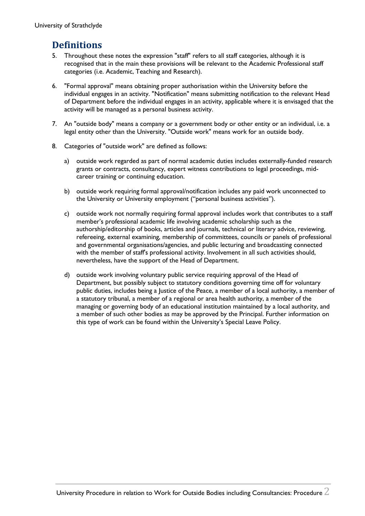### <span id="page-2-0"></span>**Definitions**

- 5. Throughout these notes the expression "staff" refers to all staff categories, although it is recognised that in the main these provisions will be relevant to the Academic Professional staff categories (i.e. Academic, Teaching and Research).
- 6. "Formal approval" means obtaining proper authorisation within the University before the individual engages in an activity. "Notification" means submitting notification to the relevant Head of Department before the individual engages in an activity, applicable where it is envisaged that the activity will be managed as a personal business activity.
- 7. An "outside body" means a company or a government body or other entity or an individual, i.e. a legal entity other than the University. "Outside work" means work for an outside body.
- 8. Categories of "outside work" are defined as follows:
	- a) outside work regarded as part of normal academic duties includes externally-funded research grants or contracts, consultancy, expert witness contributions to legal proceedings, midcareer training or continuing education.
	- b) outside work requiring formal approval/notification includes any paid work unconnected to the University or University employment ("personal business activities").
	- c) outside work not normally requiring formal approval includes work that contributes to a staff member's professional academic life involving academic scholarship such as the authorship/editorship of books, articles and journals, technical or literary advice, reviewing, refereeing, external examining, membership of committees, councils or panels of professional and governmental organisations/agencies, and public lecturing and broadcasting connected with the member of staff's professional activity. Involvement in all such activities should, nevertheless, have the support of the Head of Department.
	- d) outside work involving voluntary public service requiring approval of the Head of Department, but possibly subject to statutory conditions governing time off for voluntary public duties, includes being a Justice of the Peace, a member of a local authority, a member of a statutory tribunal, a member of a regional or area health authority, a member of the managing or governing body of an educational institution maintained by a local authority, and a member of such other bodies as may be approved by the Principal. Further information on this type of work can be found within the University's Special Leave Policy.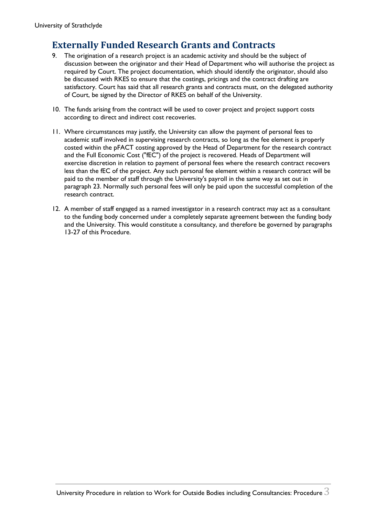## <span id="page-3-0"></span>**Externally Funded Research Grants and Contracts**

- 9. The origination of a research project is an academic activity and should be the subject of discussion between the originator and their Head of Department who will authorise the project as required by Court. The project documentation, which should identify the originator, should also be discussed with RKES to ensure that the costings, pricings and the contract drafting are satisfactory. Court has said that all research grants and contracts must, on the delegated authority of Court, be signed by the Director of RKES on behalf of the University.
- 10. The funds arising from the contract will be used to cover project and project support costs according to direct and indirect cost recoveries.
- 11. Where circumstances may justify, the University can allow the payment of personal fees to academic staff involved in supervising research contracts, so long as the fee element is properly costed within the pFACT costing approved by the Head of Department for the research contract and the Full Economic Cost ("fEC") of the project is recovered. Heads of Department will exercise discretion in relation to payment of personal fees where the research contract recovers less than the fEC of the project. Any such personal fee element within a research contract will be paid to the member of staff through the University's payroll in the same way as set out in paragraph 23. Normally such personal fees will only be paid upon the successful completion of the research contract.
- 12. A member of staff engaged as a named investigator in a research contract may act as a consultant to the funding body concerned under a completely separate agreement between the funding body and the University. This would constitute a consultancy, and therefore be governed by paragraphs 13-27 of this Procedure.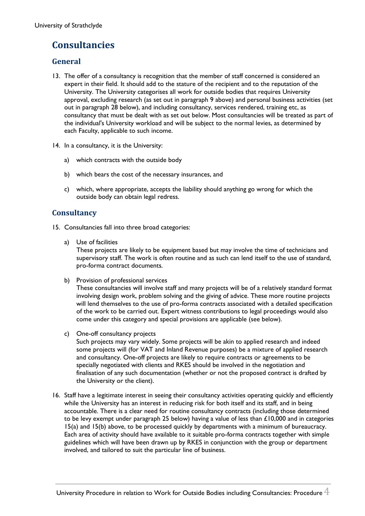## <span id="page-4-0"></span>**Consultancies**

#### <span id="page-4-1"></span>**General**

- 13. The offer of a consultancy is recognition that the member of staff concerned is considered an expert in their field. It should add to the stature of the recipient and to the reputation of the University. The University categorises all work for outside bodies that requires University approval, excluding research (as set out in paragraph 9 above) and personal business activities (set out in paragraph 28 below), and including consultancy, services rendered, training etc, as consultancy that must be dealt with as set out below. Most consultancies will be treated as part of the individual's University workload and will be subject to the normal levies, as determined by each Faculty, applicable to such income.
- 14. In a consultancy, it is the University:
	- a) which contracts with the outside body
	- b) which bears the cost of the necessary insurances, and
	- c) which, where appropriate, accepts the liability should anything go wrong for which the outside body can obtain legal redress.

#### <span id="page-4-2"></span>**Consultancy**

- 15. Consultancies fall into three broad categories:
	- a) Use of facilities

These projects are likely to be equipment based but may involve the time of technicians and supervisory staff. The work is often routine and as such can lend itself to the use of standard, pro-forma contract documents.

b) Provision of professional services

These consultancies will involve staff and many projects will be of a relatively standard format involving design work, problem solving and the giving of advice. These more routine projects will lend themselves to the use of pro-forma contracts associated with a detailed specification of the work to be carried out. Expert witness contributions to legal proceedings would also come under this category and special provisions are applicable (see below).

c) One-off consultancy projects

Such projects may vary widely. Some projects will be akin to applied research and indeed some projects will (for VAT and Inland Revenue purposes) be a mixture of applied research and consultancy. One-off projects are likely to require contracts or agreements to be specially negotiated with clients and RKES should be involved in the negotiation and finalisation of any such documentation (whether or not the proposed contract is drafted by the University or the client).

16. Staff have a legitimate interest in seeing their consultancy activities operating quickly and efficiently while the University has an interest in reducing risk for both itself and its staff, and in being accountable. There is a clear need for routine consultancy contracts (including those determined to be levy exempt under paragraph 25 below) having a value of less than £10,000 and in categories 15(a) and 15(b) above, to be processed quickly by departments with a minimum of bureaucracy. Each area of activity should have available to it suitable pro-forma contracts together with simple guidelines which will have been drawn up by RKES in conjunction with the group or department involved, and tailored to suit the particular line of business.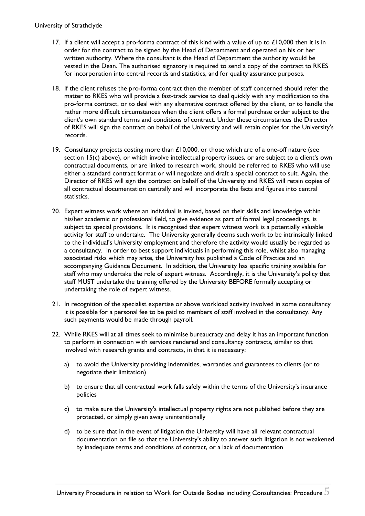#### University of Strathclyde

- 17. If a client will accept a pro-forma contract of this kind with a value of up to  $£10,000$  then it is in order for the contract to be signed by the Head of Department and operated on his or her written authority. Where the consultant is the Head of Department the authority would be vested in the Dean. The authorised signatory is required to send a copy of the contract to RKES for incorporation into central records and statistics, and for quality assurance purposes.
- 18. If the client refuses the pro-forma contract then the member of staff concerned should refer the matter to RKES who will provide a fast-track service to deal quickly with any modification to the pro-forma contract, or to deal with any alternative contract offered by the client, or to handle the rather more difficult circumstances when the client offers a formal purchase order subject to the client's own standard terms and conditions of contract. Under these circumstances the Director of RKES will sign the contract on behalf of the University and will retain copies for the University's records.
- 19. Consultancy projects costing more than  $£10,000$ , or those which are of a one-off nature (see section 15(c) above), or which involve intellectual property issues, or are subject to a client's own contractual documents, or are linked to research work, should be referred to RKES who will use either a standard contract format or will negotiate and draft a special contract to suit. Again, the Director of RKES will sign the contract on behalf of the University and RKES will retain copies of all contractual documentation centrally and will incorporate the facts and figures into central statistics.
- 20. Expert witness work where an individual is invited, based on their skills and knowledge within his/her academic or professional field, to give evidence as part of formal legal proceedings, is subject to special provisions. It is recognised that expert witness work is a potentially valuable activity for staff to undertake. The University generally deems such work to be intrinsically linked to the individual's University employment and therefore the activity would usually be regarded as a consultancy. In order to best support individuals in performing this role, whilst also managing associated risks which may arise, the University has published a Code of Practice and an accompanying Guidance Document. In addition, the University has specific training available for staff who may undertake the role of expert witness. Accordingly, it is the University's policy that staff MUST undertake the training offered by the University BEFORE formally accepting or undertaking the role of expert witness.
- 21. In recognition of the specialist expertise or above workload activity involved in some consultancy it is possible for a personal fee to be paid to members of staff involved in the consultancy. Any such payments would be made through payroll.
- 22. While RKES will at all times seek to minimise bureaucracy and delay it has an important function to perform in connection with services rendered and consultancy contracts, similar to that involved with research grants and contracts, in that it is necessary:
	- a) to avoid the University providing indemnities, warranties and guarantees to clients (or to negotiate their limitation)
	- b) to ensure that all contractual work falls safely within the terms of the University's insurance policies
	- c) to make sure the University's intellectual property rights are not published before they are protected, or simply given away unintentionally
	- d) to be sure that in the event of litigation the University will have all relevant contractual documentation on file so that the University's ability to answer such litigation is not weakened by inadequate terms and conditions of contract, or a lack of documentation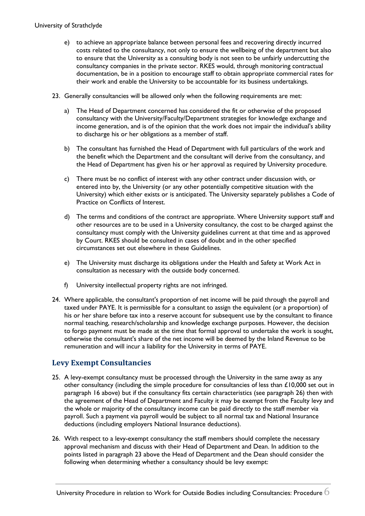#### University of Strathclyde

- e) to achieve an appropriate balance between personal fees and recovering directly incurred costs related to the consultancy, not only to ensure the wellbeing of the department but also to ensure that the University as a consulting body is not seen to be unfairly undercutting the consultancy companies in the private sector. RKES would, through monitoring contractual documentation, be in a position to encourage staff to obtain appropriate commercial rates for their work and enable the University to be accountable for its business undertakings.
- 23. Generally consultancies will be allowed only when the following requirements are met:
	- a) The Head of Department concerned has considered the fit or otherwise of the proposed consultancy with the University/Faculty/Department strategies for knowledge exchange and income generation, and is of the opinion that the work does not impair the individual's ability to discharge his or her obligations as a member of staff.
	- b) The consultant has furnished the Head of Department with full particulars of the work and the benefit which the Department and the consultant will derive from the consultancy, and the Head of Department has given his or her approval as required by University procedure.
	- c) There must be no conflict of interest with any other contract under discussion with, or entered into by, the University (or any other potentially competitive situation with the University) which either exists or is anticipated. The University separately publishes a Code of Practice on Conflicts of Interest.
	- d) The terms and conditions of the contract are appropriate. Where University support staff and other resources are to be used in a University consultancy, the cost to be charged against the consultancy must comply with the University guidelines current at that time and as approved by Court. RKES should be consulted in cases of doubt and in the other specified circumstances set out elsewhere in these Guidelines.
	- e) The University must discharge its obligations under the Health and Safety at Work Act in consultation as necessary with the outside body concerned.
	- f) University intellectual property rights are not infringed.
- 24. Where applicable, the consultant's proportion of net income will be paid through the payroll and taxed under PAYE. It is permissible for a consultant to assign the equivalent (or a proportion) of his or her share before tax into a reserve account for subsequent use by the consultant to finance normal teaching, research/scholarship and knowledge exchange purposes. However, the decision to forgo payment must be made at the time that formal approval to undertake the work is sought, otherwise the consultant's share of the net income will be deemed by the Inland Revenue to be remuneration and will incur a liability for the University in terms of PAYE.

#### <span id="page-6-0"></span>**Levy Exempt Consultancies**

- 25. A levy-exempt consultancy must be processed through the University in the same away as any other consultancy (including the simple procedure for consultancies of less than £10,000 set out in paragraph 16 above) but if the consultancy fits certain characteristics (see paragraph 26) then with the agreement of the Head of Department and Faculty it may be exempt from the Faculty levy and the whole or majority of the consultancy income can be paid directly to the staff member via payroll. Such a payment via payroll would be subject to all normal tax and National Insurance deductions (including employers National Insurance deductions).
- 26. With respect to a levy-exempt consultancy the staff members should complete the necessary approval mechanism and discuss with their Head of Department and Dean. In addition to the points listed in paragraph 23 above the Head of Department and the Dean should consider the following when determining whether a consultancy should be levy exempt: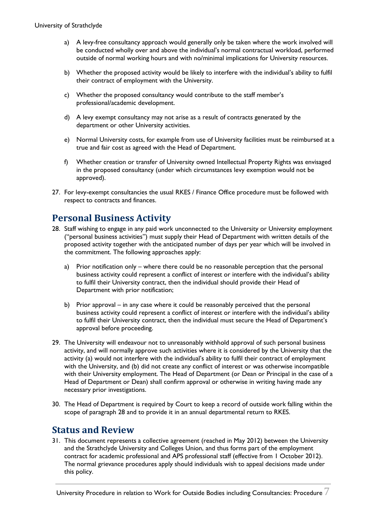- a) A levy-free consultancy approach would generally only be taken where the work involved will be conducted wholly over and above the individual's normal contractual workload, performed outside of normal working hours and with no/minimal implications for University resources.
- b) Whether the proposed activity would be likely to interfere with the individual's ability to fulfil their contract of employment with the University.
- c) Whether the proposed consultancy would contribute to the staff member's professional/academic development.
- d) A levy exempt consultancy may not arise as a result of contracts generated by the department or other University activities.
- e) Normal University costs, for example from use of University facilities must be reimbursed at a true and fair cost as agreed with the Head of Department.
- f) Whether creation or transfer of University owned Intellectual Property Rights was envisaged in the proposed consultancy (under which circumstances levy exemption would not be approved).
- 27. For levy-exempt consultancies the usual RKES / Finance Office procedure must be followed with respect to contracts and finances.

## <span id="page-7-0"></span>**Personal Business Activity**

- 28. Staff wishing to engage in any paid work unconnected to the University or University employment ("personal business activities") must supply their Head of Department with written details of the proposed activity together with the anticipated number of days per year which will be involved in the commitment. The following approaches apply:
	- a) Prior notification only where there could be no reasonable perception that the personal business activity could represent a conflict of interest or interfere with the individual's ability to fulfil their University contract, then the individual should provide their Head of Department with prior notification;
	- b) Prior approval in any case where it could be reasonably perceived that the personal business activity could represent a conflict of interest or interfere with the individual's ability to fulfil their University contract, then the individual must secure the Head of Department's approval before proceeding.
- 29. The University will endeavour not to unreasonably withhold approval of such personal business activity, and will normally approve such activities where it is considered by the University that the activity (a) would not interfere with the individual's ability to fulfil their contract of employment with the University, and (b) did not create any conflict of interest or was otherwise incompatible with their University employment. The Head of Department (or Dean or Principal in the case of a Head of Department or Dean) shall confirm approval or otherwise in writing having made any necessary prior investigations.
- 30. The Head of Department is required by Court to keep a record of outside work falling within the scope of paragraph 28 and to provide it in an annual departmental return to RKES.

### <span id="page-7-1"></span>**Status and Review**

31. This document represents a collective agreement (reached in May 2012) between the University and the Strathclyde University and Colleges Union, and thus forms part of the employment contract for academic professional and APS professional staff (effective from 1 October 2012). The normal grievance procedures apply should individuals wish to appeal decisions made under this policy.

University Procedure in relation to Work for Outside Bodies including Consultancies: Procedure  $7$